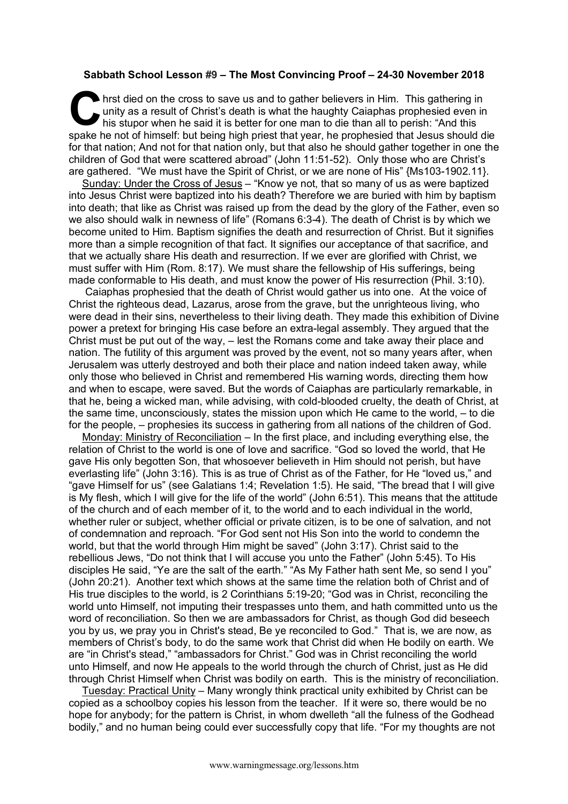## **Sabbath School Lesson #9 – The Most Convincing Proof – 24-30 November 2018**

hrst died on the cross to save us and to gather believers in Him. This gathering in unity as a result of Christ's death is what the haughty Caiaphas prophesied even in his stupor when he said it is better for one man to die than all to perish: "And this spake he not of himself: but being high priest that year, he prophesied that Jesus should die for that nation; And not for that nation only, but that also he should gather together in one the children of God that were scattered abroad" (John 11:51-52). Only those who are Christ's are gathered. "We must have the Spirit of Christ, or we are none of His" {Ms103-1902.11}. C uni

Sunday: Under the Cross of Jesus – "Know ye not, that so many of us as were baptized into Jesus Christ were baptized into his death? Therefore we are buried with him by baptism into death; that like as Christ was raised up from the dead by the glory of the Father, even so we also should walk in newness of life" (Romans 6:3-4). The death of Christ is by which we become united to Him. Baptism signifies the death and resurrection of Christ. But it signifies more than a simple recognition of that fact. It signifies our acceptance of that sacrifice, and that we actually share His death and resurrection. If we ever are glorified with Christ, we must suffer with Him (Rom. 8:17). We must share the fellowship of His sufferings, being made conformable to His death, and must know the power of His resurrection (Phil. 3:10).

Caiaphas prophesied that the death of Christ would gather us into one. At the voice of Christ the righteous dead, Lazarus, arose from the grave, but the unrighteous living, who were dead in their sins, nevertheless to their living death. They made this exhibition of Divine power a pretext for bringing His case before an extra-legal assembly. They argued that the Christ must be put out of the way, – lest the Romans come and take away their place and nation. The futility of this argument was proved by the event, not so many years after, when Jerusalem was utterly destroyed and both their place and nation indeed taken away, while only those who believed in Christ and remembered His warning words, directing them how and when to escape, were saved. But the words of Caiaphas are particularly remarkable, in that he, being a wicked man, while advising, with cold-blooded cruelty, the death of Christ, at the same time, unconsciously, states the mission upon which He came to the world, – to die for the people, – prophesies its success in gathering from all nations of the children of God.

Monday: Ministry of Reconciliation – In the first place, and including everything else, the relation of Christ to the world is one of love and sacrifice. "God so loved the world, that He gave His only begotten Son, that whosoever believeth in Him should not perish, but have everlasting life" (John 3:16). This is as true of Christ as of the Father, for He "loved us," and "gave Himself for us" (see Galatians 1:4; Revelation 1:5). He said, "The bread that I will give is My flesh, which I will give for the life of the world" (John 6:51). This means that the attitude of the church and of each member of it, to the world and to each individual in the world, whether ruler or subject, whether official or private citizen, is to be one of salvation, and not of condemnation and reproach. "For God sent not His Son into the world to condemn the world, but that the world through Him might be saved" (John 3:17). Christ said to the rebellious Jews, "Do not think that I will accuse you unto the Father" (John 5:45). To His disciples He said, "Ye are the salt of the earth." "As My Father hath sent Me, so send I you" (John 20:21). Another text which shows at the same time the relation both of Christ and of His true disciples to the world, is 2 Corinthians 5:19-20; "God was in Christ, reconciling the world unto Himself, not imputing their trespasses unto them, and hath committed unto us the word of reconciliation. So then we are ambassadors for Christ, as though God did beseech you by us, we pray you in Christ's stead, Be ye reconciled to God." That is, we are now, as members of Christ's body, to do the same work that Christ did when He bodily on earth. We are "in Christ's stead," "ambassadors for Christ." God was in Christ reconciling the world unto Himself, and now He appeals to the world through the church of Christ, just as He did through Christ Himself when Christ was bodily on earth. This is the ministry of reconciliation.

Tuesday: Practical Unity – Many wrongly think practical unity exhibited by Christ can be copied as a schoolboy copies his lesson from the teacher. If it were so, there would be no hope for anybody; for the pattern is Christ, in whom dwelleth "all the fulness of the Godhead bodily," and no human being could ever successfully copy that life. "For my thoughts are not